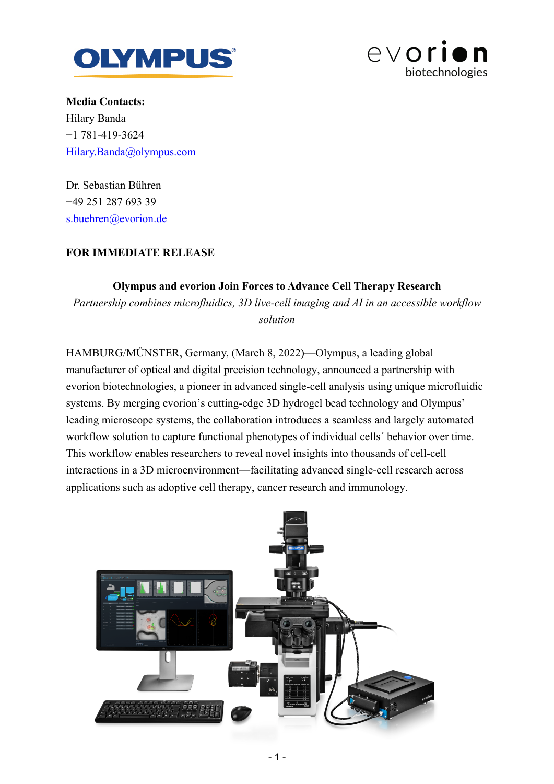



**Media Contacts:** Hilary Banda +1 781-419-3624 Hilary.Banda@olympus.com

Dr. Sebastian Bühren +49 251 287 693 39 s.buehren@evorion.de

## **FOR IMMEDIATE RELEASE**

## **Olympus and evorion Join Forces to Advance Cell Therapy Research**

*Partnership combines microfluidics, 3D live-cell imaging and AI in an accessible workflow solution*

HAMBURG/MÜNSTER, Germany, (March 8, 2022)—Olympus, a leading global manufacturer of optical and digital precision technology, announced a partnership with evorion biotechnologies, a pioneer in advanced single-cell analysis using unique microfluidic systems. By merging evorion's cutting-edge 3D hydrogel bead technology and Olympus' leading microscope systems, the collaboration introduces a seamless and largely automated workflow solution to capture functional phenotypes of individual cells´ behavior over time. This workflow enables researchers to reveal novel insights into thousands of cell-cell interactions in a 3D microenvironment—facilitating advanced single-cell research across applications such as adoptive cell therapy, cancer research and immunology.

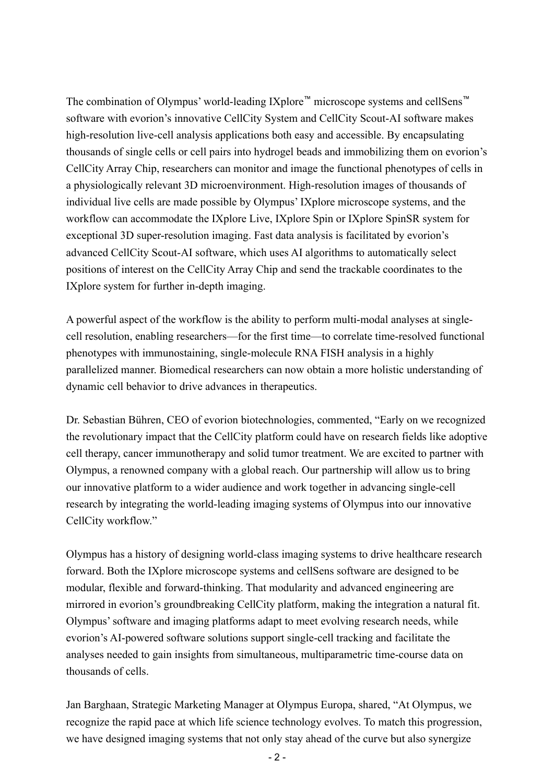The combination of Olympus' world-leading IXplore™ microscope systems and cellSens™ software with evorion's innovative CellCity System and CellCity Scout-AI software makes high-resolution live-cell analysis applications both easy and accessible. By encapsulating thousands of single cells or cell pairs into hydrogel beads and immobilizing them on evorion's CellCity Array Chip, researchers can monitor and image the functional phenotypes of cells in a physiologically relevant 3D microenvironment. High-resolution images of thousands of individual live cells are made possible by Olympus' IXplore microscope systems, and the workflow can accommodate the IXplore Live, IXplore Spin or IXplore SpinSR system for exceptional 3D super-resolution imaging. Fast data analysis is facilitated by evorion's advanced CellCity Scout-AI software, which uses AI algorithms to automatically select positions of interest on the CellCity Array Chip and send the trackable coordinates to the IXplore system for further in-depth imaging.

A powerful aspect of the workflow is the ability to perform multi-modal analyses at singlecell resolution, enabling researchers—for the first time—to correlate time-resolved functional phenotypes with immunostaining, single-molecule RNA FISH analysis in a highly parallelized manner. Biomedical researchers can now obtain a more holistic understanding of dynamic cell behavior to drive advances in therapeutics.

Dr. Sebastian Bühren, CEO of evorion biotechnologies, commented, "Early on we recognized the revolutionary impact that the CellCity platform could have on research fields like adoptive cell therapy, cancer immunotherapy and solid tumor treatment. We are excited to partner with Olympus, a renowned company with a global reach. Our partnership will allow us to bring our innovative platform to a wider audience and work together in advancing single-cell research by integrating the world-leading imaging systems of Olympus into our innovative CellCity workflow."

Olympus has a history of designing world-class imaging systems to drive healthcare research forward. Both the IXplore microscope systems and cellSens software are designed to be modular, flexible and forward-thinking. That modularity and advanced engineering are mirrored in evorion's groundbreaking CellCity platform, making the integration a natural fit. Olympus' software and imaging platforms adapt to meet evolving research needs, while evorion's AI-powered software solutions support single-cell tracking and facilitate the analyses needed to gain insights from simultaneous, multiparametric time-course data on thousands of cells.

Jan Barghaan, Strategic Marketing Manager at Olympus Europa, shared, "At Olympus, we recognize the rapid pace at which life science technology evolves. To match this progression, we have designed imaging systems that not only stay ahead of the curve but also synergize